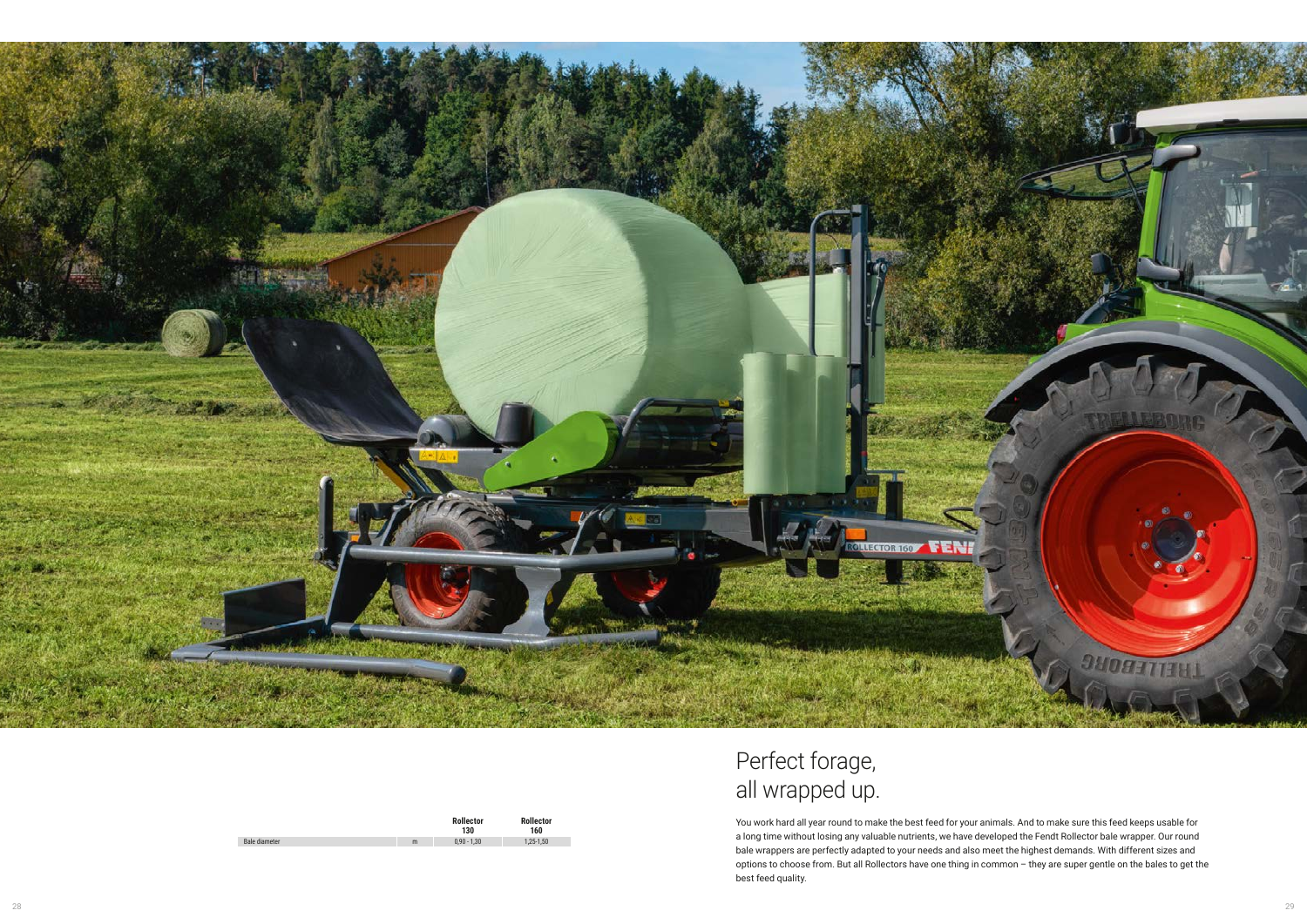|               |   | <b>Rollector</b><br>130 | <b>Rollector</b><br>160 |
|---------------|---|-------------------------|-------------------------|
| Bale diameter | m | $0,90 - 1,30$           | $1,25-1,50$             |



| Perfect forage, |
|-----------------|
| all wrapped up. |

You work hard all year round to make the best feed for your animals. And to make sure this feed keeps usable for a long time without losing any valuable nutrients, we have developed the Fendt Rollector bale wrapper. Our round bale wrappers are perfectly adapted to your needs and also meet the highest demands. With different sizes and options to choose from. But all Rollectors have one thing in common – they are super gentle on the bales to get the best feed quality.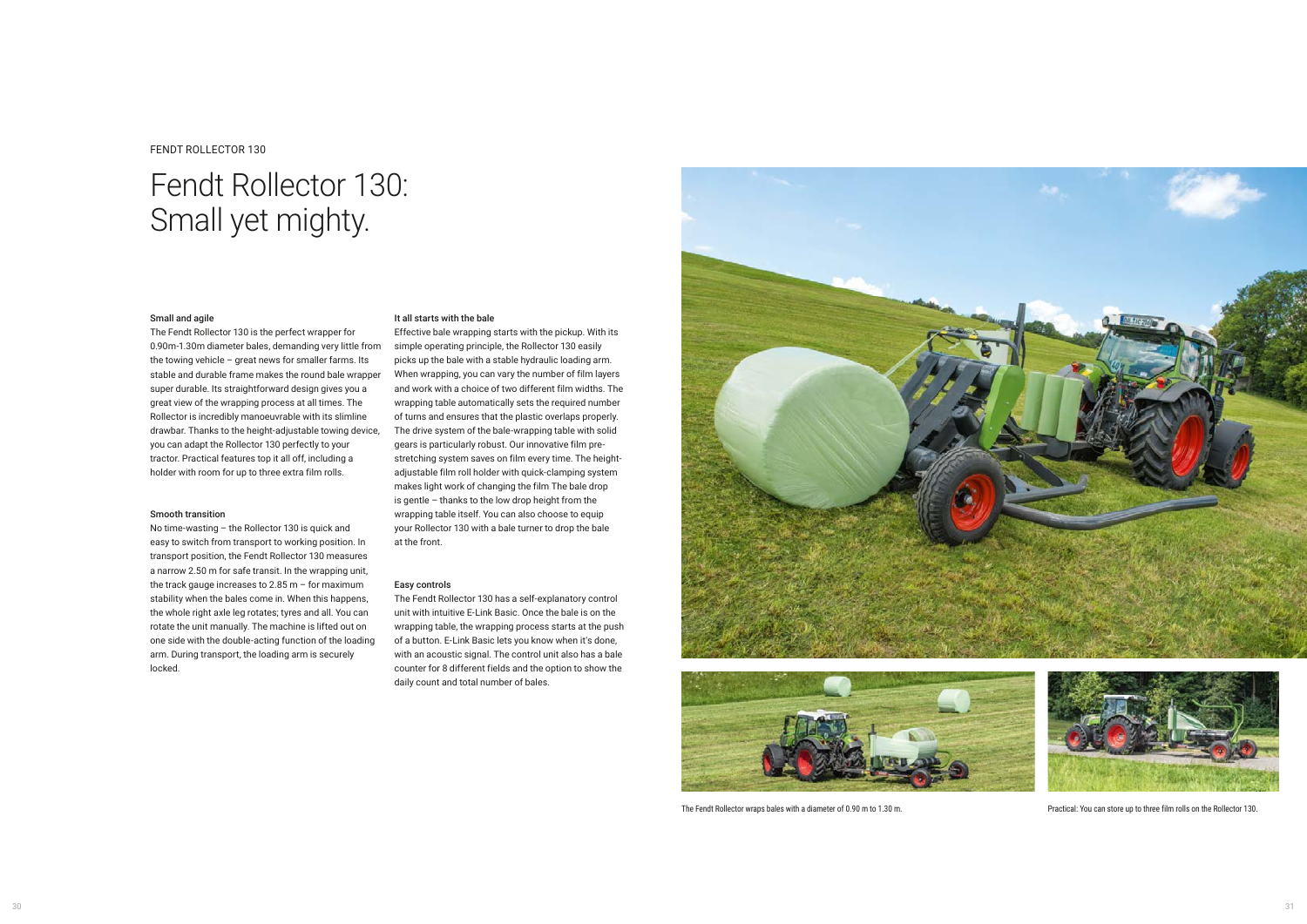## FENDT ROLLECTOR 130

# Fendt Rollector 130: Small yet mighty.

#### It all starts with the bale

Effective bale wrapping starts with the pickup. With its simple operating principle, the Rollector 130 easily picks up the bale with a stable hydraulic loading arm. When wrapping, you can vary the number of film layers and work with a choice of two different film widths. The wrapping table automatically sets the required number of turns and ensures that the plastic overlaps properly. The drive system of the bale-wrapping table with solid gears is particularly robust. Our innovative film prestretching system saves on film every time. The heightadjustable film roll holder with quick-clamping system makes light work of changing the film The bale drop is gentle – thanks to the low drop height from the wrapping table itself. You can also choose to equip your Rollector 130 with a bale turner to drop the bale at the front.

### Easy controls

The Fendt Rollector 130 has a self-explanatory control unit with intuitive E-Link Basic. Once the bale is on the wrapping table, the wrapping process starts at the push of a button. E-Link Basic lets you know when it's done, with an acoustic signal. The control unit also has a bale counter for 8 different fields and the option to show the daily count and total number of bales.







## Small and agile

The Fendt Rollector 130 is the perfect wrapper for 0.90m-1.30m diameter bales, demanding very little from the towing vehicle – great news for smaller farms. Its stable and durable frame makes the round bale wrapper super durable. Its straightforward design gives you a great view of the wrapping process at all times. The Rollector is incredibly manoeuvrable with its slimline drawbar. Thanks to the height-adjustable towing device, you can adapt the Rollector 130 perfectly to your tractor. Practical features top it all off, including a holder with room for up to three extra film rolls.

### Smooth transition

No time-wasting – the Rollector 130 is quick and easy to switch from transport to working position. In transport position, the Fendt Rollector 130 measures a narrow 2.50 m for safe transit. In the wrapping unit, the track gauge increases to 2.85 m – for maximum stability when the bales come in. When this happens, the whole right axle leg rotates; tyres and all. You can rotate the unit manually. The machine is lifted out on one side with the double-acting function of the loading arm. During transport, the loading arm is securely locked.



The Fendt Rollector wraps bales with a diameter of 0.90 m to 1.30 m. Practical: You can store up to three film rolls on the Rollector 130.